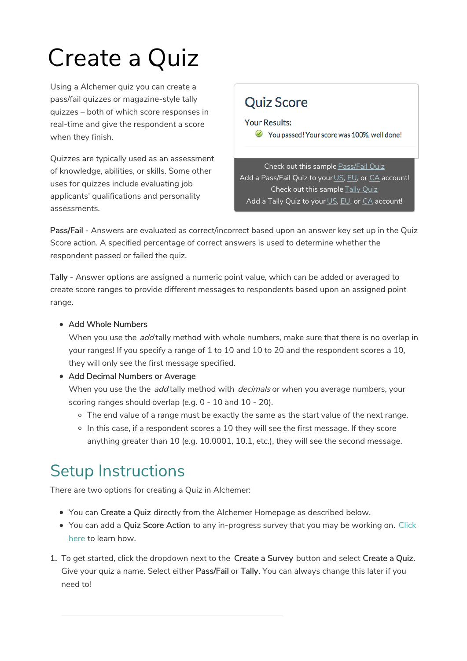# Create a Quiz

Using a Alchemer quiz you can create a pass/fail quizzes or magazine-style tally quizzes – both of which score responses in real-time and give the respondent a score when they finish.

Quizzes are typically used as an assessment of knowledge, abilities, or skills. Some other uses for quizzes include evaluating job applicants' qualifications and personality assessments.

### **Quiz Score**

### **Your Results:**

 $\vee$  You passed! Your score was 100%, well done!

Check out this sample Pass/Fail Quiz Add a Pass/Fail Quiz to your US, EU, or CA account! Check out this sample Tally Quiz Add a Tally Quiz to your US, EU, or CA account!

Pass/Fail - Answers are evaluated as correct/incorrect based upon an answer key set up in the Quiz Score action. A specified percentage of correct answers is used to determine whether the respondent passed or failed the quiz.

Tally - Answer options are assigned a numeric point value, which can be added or averaged to create score ranges to provide different messages to respondents based upon an assigned point range.

### • Add Whole Numbers

When you use the *add* tally method with whole numbers, make sure that there is no overlap in your ranges! If you specify a range of 1 to 10 and 10 to 20 and the respondent scores a 10, they will only see the first message specified.

### • Add Decimal Numbers or Average

When you use the the *add* tally method with *decimals* or when you average numbers, your scoring ranges should overlap (e.g. 0 - 10 and 10 - 20).

- $\circ$  The end value of a range must be exactly the same as the start value of the next range.
- o In this case, if a respondent scores a 10 they will see the first message. If they score anything greater than 10 (e.g. 10.0001, 10.1, etc.), they will see the second message.

## Setup Instructions

There are two options for creating a Quiz in Alchemer:

- You can Create a Quiz directly from the Alchemer Homepage as described below.
- You can add a Quiz Score Action to any in-progress survey that you may be working on. Click here to learn how.
- 1. To get started, click the dropdown next to the Create a Survey button and select Create a Quiz. Give your quiz a name. Select either Pass/Fail or Tally. You can always change this later if you need to!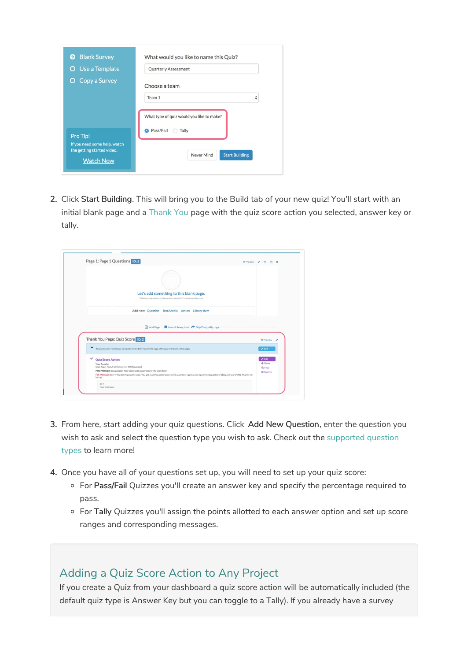| <b>Blank Survey</b><br>Θ                                                       | What would you like to name this Quiz?                               |
|--------------------------------------------------------------------------------|----------------------------------------------------------------------|
| <b>O</b> Use a Template                                                        | <b>Quarterly Assessment</b>                                          |
| <b>O</b> Copy a Survey                                                         | Choose a team                                                        |
|                                                                                | ÷<br>Team 1                                                          |
| Pro Tip!                                                                       | What type of quiz would you like to make?<br>Pass/Fail<br>Tally<br>o |
| If you need some help, watch<br>the getting started video.<br><b>Watch Now</b> | <b>Start Building</b><br>Never Mind                                  |

2. Click Start Building. This will bring you to the Build tab of your new quiz! You'll start with an initial blank page and a Thank You page with the quiz score action you selected, answer key or tally.

| Page 1: Page 1 Questions ID:1<br><b>C</b> Preview /                                                                                                                                                                                                                                                                                                     | + @ x                                              |
|---------------------------------------------------------------------------------------------------------------------------------------------------------------------------------------------------------------------------------------------------------------------------------------------------------------------------------------------------------|----------------------------------------------------|
| Let's add something to this blank page.<br>"We become aware of the void as we fill it." - Antonio Porchia                                                                                                                                                                                                                                               |                                                    |
| Add New: Question Text/Media Action Library Item                                                                                                                                                                                                                                                                                                        |                                                    |
|                                                                                                                                                                                                                                                                                                                                                         |                                                    |
| Add Page   Insert Library Item   Skip/Disqualify Logic<br>Thank You Page: Quiz Score ID:2                                                                                                                                                                                                                                                               | ® Preview /                                        |
| ×<br>Responses are marked as complete when they reach this page (The quiz will end on this page)                                                                                                                                                                                                                                                        | $\blacktriangleright$ Edit                         |
| ✓<br><b>Quiz Score Action</b><br>Your Results:<br>Quiz Type: Pass/Fail (A score of 100% passes)<br>Pass Message: You passed! Your score was [quiz("score")]%, well done!<br>Fail Message: Sorry. You didn't pass the quiz. You got [quiz("questionscorrect")] questions right out of [quiz("totalquestions")] ([quiz("score")]%). Thanks for<br>trying! | <b>PEdit</b><br>+Move<br>@1Cooy<br><b>x</b> Remove |

- 3. From here, start adding your quiz questions. Click Add New Question, enter the question you wish to ask and select the question type you wish to ask. Check out the supported question types to learn more!
- 4. Once you have all of your questions set up, you will need to set up your quiz score:
	- o For Pass/Fail Quizzes you'll create an answer key and specify the percentage required to pass.
	- o For Tally Quizzes you'll assign the points allotted to each answer option and set up score ranges and corresponding messages.

### Adding a Quiz Score Action to Any Project

If you create a Quiz from your dashboard a quiz score action will be automatically included (the default quiz type is Answer Key but you can toggle to a Tally). If you already have a survey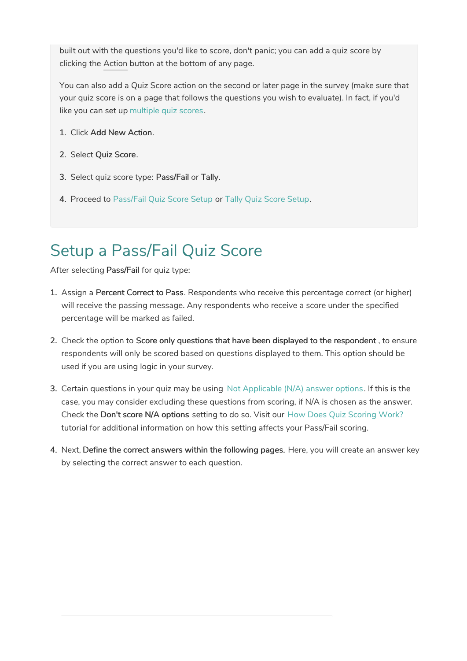built out with the questions you'd like to score, don't panic; you can add a quiz score by clicking the Action button at the bottom of any page.

You can also add a Quiz Score action on the second or later page in the survey (make sure that your quiz score is on a page that follows the questions you wish to evaluate). In fact, if you'd like you can set up multiple quiz scores.

- 1. Click Add New Action.
- 2. Select Quiz Score.
- 3. Select quiz score type: Pass/Fail or Tally.
- 4. Proceed to Pass/Fail Quiz Score Setup or Tally Quiz Score Setup.

## Setup a Pass/Fail Quiz Score

After selecting Pass/Fail for quiz type:

- 1. Assign a Percent Correct to Pass. Respondents who receive this percentage correct (or higher) will receive the passing message. Any respondents who receive a score under the specified percentage will be marked as failed.
- 2. Check the option to Score only questions that have been displayed to the respondent , to ensure respondents will only be scored based on questions displayed to them. This option should be used if you are using logic in your survey.
- 3. Certain questions in your quiz may be using Not Applicable (N/A) answer options. If this is the case, you may consider excluding these questions from scoring, if N/A is chosen as the answer. Check the Don't score N/A options setting to do so. Visit our How Does Quiz Scoring Work? tutorial for additional information on how this setting affects your Pass/Fail scoring.
- 4. Next, Define the correct answers within the following pages. Here, you will create an answer key by selecting the correct answer to each question.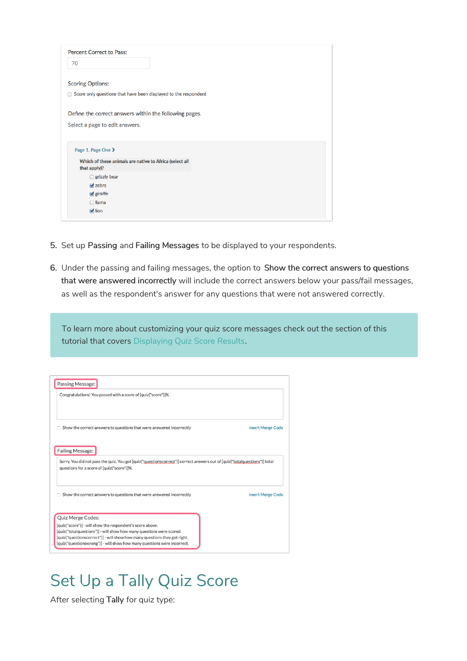| <b>Percent Correct to Pass:</b>                                                                 |  |
|-------------------------------------------------------------------------------------------------|--|
| 70                                                                                              |  |
| <b>Scoring Options:</b><br>Score only questions that have been displayed to the respondent<br>⋒ |  |
| Define the correct answers within the following pages.                                          |  |
| Select a page to edit answers.                                                                  |  |
|                                                                                                 |  |
| Page 1. Page One >                                                                              |  |
| Which of these animals are native to Africa (select all<br>that apply)?                         |  |
| $\Box$ grizzly bear                                                                             |  |
| $\triangledown$ zebra                                                                           |  |
| $g$ giraffe                                                                                     |  |
| $\Box$ llama                                                                                    |  |

- 5. Set up Passing and Failing Messages to be displayed to your respondents.
- 6. Under the passing and failing messages, the option to Show the correct answers to questions that were answered incorrectly will include the correct answers below your pass/fail messages, as well as the respondent's answer for any questions that were not answered correctly.

To learn more about customizing your quiz score messages check out the section of this tutorial that covers Displaying Quiz Score Results.

| Passing Message:                                                                                                                                                         |                          |
|--------------------------------------------------------------------------------------------------------------------------------------------------------------------------|--------------------------|
| Congratulations! You passed with a score of [quiz("score")]%                                                                                                             |                          |
| Show the correct answers to questions that were answered incorrectly                                                                                                     | <b>Insert Merge Code</b> |
|                                                                                                                                                                          |                          |
| <b>Failing Message:</b>                                                                                                                                                  |                          |
| Sorry. You did not pass the quiz. You got [quiz("questionscorrect")] correct answers out of [quiz("totalquestions")] total<br>questions for a score of [quiz("score")]%. |                          |
| Show the correct answers to questions that were answered incorrectly                                                                                                     | <b>Insert Merge Code</b> |
| Quiz Merge Codes:                                                                                                                                                        |                          |
| [quiz("score")] - will show the respondent's score above.                                                                                                                |                          |
| [quiz("totalquestions")] - will show how many questions were scored.                                                                                                     |                          |
| [quiz("questionscorrect")] - will show how many questions they got right.<br>[quiz("questionswrong")] - will show how many questions were incorrect.                     |                          |

### Set Up a Tally Quiz Score

After selecting Tally for quiz type: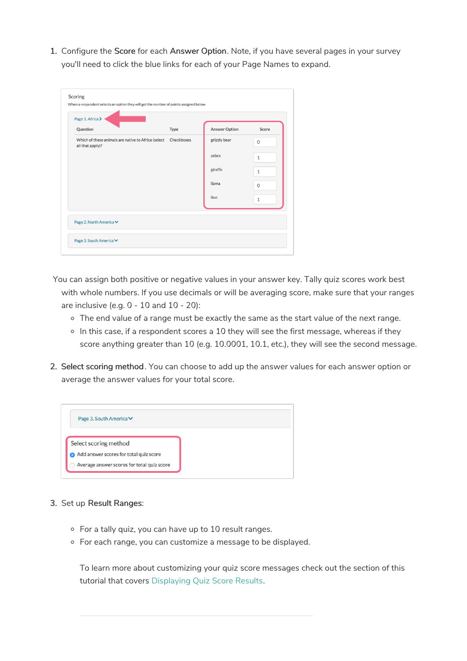1. Configure the Score for each Answer Option. Note, if you have several pages in your survey you'll need to click the blue links for each of your Page Names to expand.

| Page 1. Africa >                                                                   |      |                      |              |
|------------------------------------------------------------------------------------|------|----------------------|--------------|
| Question                                                                           | Type | <b>Answer Option</b> | Score        |
| Which of these animals are native to Africa (select Checkboxes<br>all that apply)? |      | grizzly bear         | $\mathbf 0$  |
|                                                                                    |      | zebra                | $\mathbf{1}$ |
|                                                                                    |      | giraffe              | $\mathbf{1}$ |
|                                                                                    |      | <b>Ilama</b>         | 0            |
|                                                                                    |      | lion                 | $\mathbf{1}$ |
| Page 2. North America <del>∨</del>                                                 |      |                      |              |

You can assign both positive or negative values in your answer key. Tally quiz scores work best with whole numbers. If you use decimals or will be averaging score, make sure that your ranges are inclusive (e.g. 0 - 10 and 10 - 20):

- o The end value of a range must be exactly the same as the start value of the next range.
- $\circ$  In this case, if a respondent scores a 10 they will see the first message, whereas if they score anything greater than 10 (e.g. 10.0001, 10.1, etc.), they will see the second message.
- 2. Select scoring method. You can choose to add up the answer values for each answer option or average the answer values for your total score.

| Page 3. South America <b>▽</b>                                  |  |
|-----------------------------------------------------------------|--|
|                                                                 |  |
|                                                                 |  |
| Select scoring method<br>Add answer scores for total quiz score |  |

#### 3. Set up Result Ranges:

- For a tally quiz, you can have up to 10 result ranges.
- For each range, you can customize a message to be displayed.

To learn more about customizing your quiz score messages check out the section of this tutorial that covers Displaying Quiz Score Results.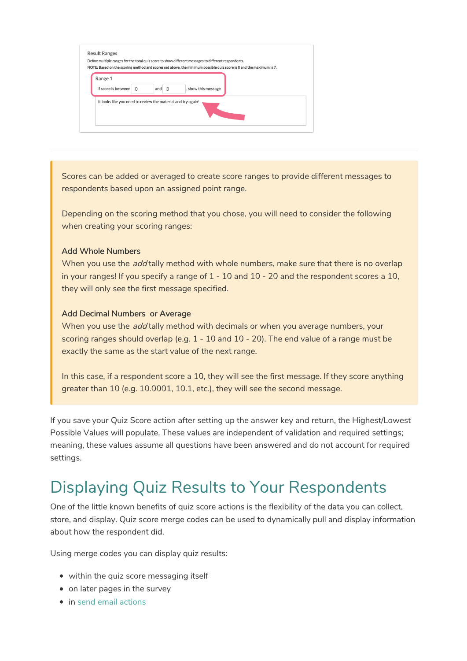| Range 1                                                      |         |                     |  |  |
|--------------------------------------------------------------|---------|---------------------|--|--|
| If score is between $\cap$                                   | and $3$ | , show this message |  |  |
|                                                              |         |                     |  |  |
| It looks like you need to review the material and try again! |         |                     |  |  |

Scores can be added or averaged to create score ranges to provide different messages to respondents based upon an assigned point range.

Depending on the scoring method that you chose, you will need to consider the following when creating your scoring ranges:

#### Add Whole Numbers

When you use the *add* tally method with whole numbers, make sure that there is no overlap in your ranges! If you specify a range of 1 - 10 and 10 - 20 and the respondent scores a 10, they will only see the first message specified.

#### Add Decimal Numbers or Average

When you use the *add* tally method with decimals or when you average numbers, your scoring ranges should overlap (e.g. 1 - 10 and 10 - 20). The end value of a range must be exactly the same as the start value of the next range.

In this case, if a respondent score a 10, they will see the first message. If they score anything greater than 10 (e.g. 10.0001, 10.1, etc.), they will see the second message.

If you save your Quiz Score action after setting up the answer key and return, the Highest/Lowest Possible Values will populate. These values are independent of validation and required settings; meaning, these values assume all questions have been answered and do not account for required settings.

### Displaying Quiz Results to Your Respondents

One of the little known benefits of quiz score actions is the flexibility of the data you can collect, store, and display. Quiz score merge codes can be used to dynamically pull and display information about how the respondent did.

Using merge codes you can display quiz results:

- within the quiz score messaging itself
- on later pages in the survey
- in send email actions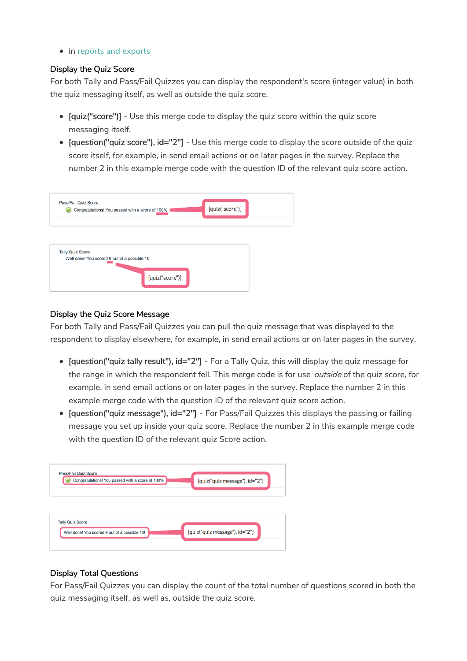• in reports and exports

#### Display the Quiz Score

For both Tally and Pass/Fail Quizzes you can display the respondent's score (integer value) in both the quiz messaging itself, as well as outside the quiz score.

- [quiz("score")] Use this merge code to display the quiz score within the quiz score messaging itself.
- [question("quiz score"), id="2"] Use this merge code to display the score outside of the quiz score itself, for example, in send email actions or on later pages in the survey. Replace the number 2 in this example merge code with the question ID of the relevant quiz score action.

| Pass/Fail Quiz Score    | Congratulations! You passed with a score of 100% |                 | [quiz("score")] |  |
|-------------------------|--------------------------------------------------|-----------------|-----------------|--|
|                         |                                                  |                 |                 |  |
|                         |                                                  |                 |                 |  |
| <b>Tally Quiz Score</b> |                                                  |                 |                 |  |
|                         | Well done! You scored 9 out of a possible 10!    |                 |                 |  |
|                         |                                                  | [quiz("score")] |                 |  |

### Display the Quiz Score Message

For both Tally and Pass/Fail Quizzes you can pull the quiz message that was displayed to the respondent to display elsewhere, for example, in send email actions or on later pages in the survey.

- [question("quiz tally result"), id="2"] For a Tally Quiz, this will display the quiz message for the range in which the respondent fell. This merge code is for use *outside* of the quiz score, for example, in send email actions or on later pages in the survey. Replace the number 2 in this example merge code with the question ID of the relevant quiz score action.
- [question("quiz message"), id="2"] For Pass/Fail Quizzes this displays the passing or failing message you set up inside your quiz score. Replace the number 2 in this example merge code with the question ID of the relevant quiz Score action.

| Pass/Fail Quiz Score<br>Congratulations! You passed with a score of 100% | [quiz("quiz message"), id="2"] |
|--------------------------------------------------------------------------|--------------------------------|
|                                                                          |                                |
| <b>Tally Quiz Score</b><br>Well done! You scored 9 out of a possible 10! | [quiz("quiz message"), id="2"] |

### Display Total Questions

For Pass/Fail Quizzes you can display the count of the total number of questions scored in both the quiz messaging itself, as well as, outside the quiz score.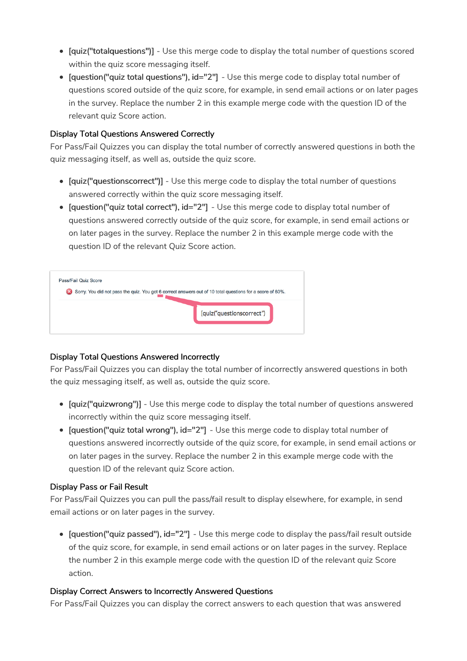- [quiz("totalquestions")] Use this merge code to display the total number of questions scored within the quiz score messaging itself.
- [question("quiz total questions"), id="2"] Use this merge code to display total number of questions scored outside of the quiz score, for example, in send email actions or on later pages in the survey. Replace the number 2 in this example merge code with the question ID of the relevant quiz Score action.

### Display Total Questions Answered Correctly

For Pass/Fail Quizzes you can display the total number of correctly answered questions in both the quiz messaging itself, as well as, outside the quiz score.

- [quiz("questionscorrect")] Use this merge code to display the total number of questions answered correctly within the quiz score messaging itself.
- [question("quiz total correct"), id="2"] Use this merge code to display total number of questions answered correctly outside of the quiz score, for example, in send email actions or on later pages in the survey. Replace the number 2 in this example merge code with the question ID of the relevant Quiz Score action.

| Pass/Fail Quiz Score |  |                           |  |
|----------------------|--|---------------------------|--|
|                      |  |                           |  |
|                      |  |                           |  |
|                      |  | [quiz("questionscorrect") |  |
|                      |  |                           |  |
|                      |  |                           |  |

### Display Total Questions Answered Incorrectly

For Pass/Fail Quizzes you can display the total number of incorrectly answered questions in both the quiz messaging itself, as well as, outside the quiz score.

- [quiz("quizwrong")] Use this merge code to display the total number of questions answered incorrectly within the quiz score messaging itself.
- [question("quiz total wrong"), id="2"] Use this merge code to display total number of questions answered incorrectly outside of the quiz score, for example, in send email actions or on later pages in the survey. Replace the number 2 in this example merge code with the question ID of the relevant quiz Score action.

### Display Pass or Fail Result

For Pass/Fail Quizzes you can pull the pass/fail result to display elsewhere, for example, in send email actions or on later pages in the survey.

[question("quiz passed"), id="2"] - Use this merge code to display the pass/fail result outside of the quiz score, for example, in send email actions or on later pages in the survey. Replace the number 2 in this example merge code with the question ID of the relevant quiz Score action.

### Display Correct Answers to Incorrectly Answered Questions

For Pass/Fail Quizzes you can display the correct answers to each question that was answered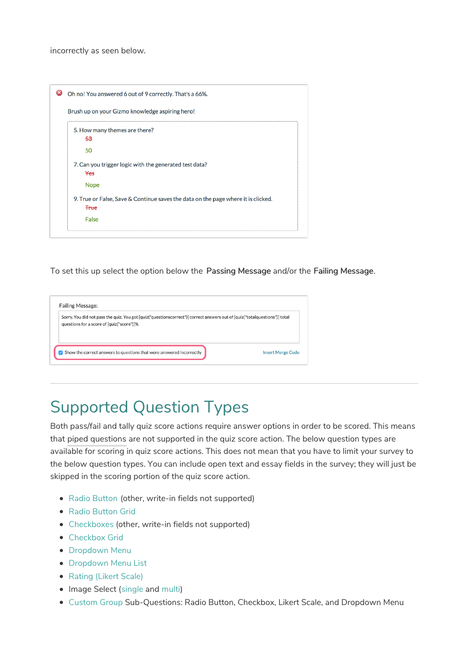incorrectly as seen below.

|             | Brush up on your Gizmo knowledge aspiring hero!                                   |
|-------------|-----------------------------------------------------------------------------------|
|             | 5. How many themes are there?                                                     |
| 53          |                                                                                   |
| 50          |                                                                                   |
| Yes         | 7. Can you trigger logic with the generated test data?                            |
|             | <b>Nope</b>                                                                       |
|             | 9. True or False, Save & Continue saves the data on the page where it is clicked. |
| <b>True</b> |                                                                                   |
| False       |                                                                                   |

To set this up select the option below the Passing Message and/or the Failing Message.

| <b>Failing Message:</b>                                                                                                                                                  |                          |
|--------------------------------------------------------------------------------------------------------------------------------------------------------------------------|--------------------------|
| Sorry. You did not pass the quiz. You got [quiz("questionscorrect")] correct answers out of [quiz("totalquestions")] total<br>questions for a score of [quiz("score")]%. |                          |
| $\sqrt{ }$ Show the correct answers to questions that were answered incorrectly                                                                                          | <b>Insert Merge Code</b> |

## Supported Question Types

Both pass/fail and tally quiz score actions require answer options in order to be scored. This means that piped questions are not supported in the quiz score action. The below question types are available for scoring in quiz score actions. This does not mean that you have to limit your survey to the below question types. You can include open text and essay fields in the survey; they will just be skipped in the scoring portion of the quiz score action.

- Radio Button (other, write-in fields not supported)
- Radio Button Grid
- Checkboxes (other, write-in fields not supported)
- Checkbox Grid
- **Dropdown Menu**
- Dropdown Menu List
- Rating (Likert Scale)
- Image Select (single and multi)
- Custom Group Sub-Questions: Radio Button, Checkbox, Likert Scale, and Dropdown Menu